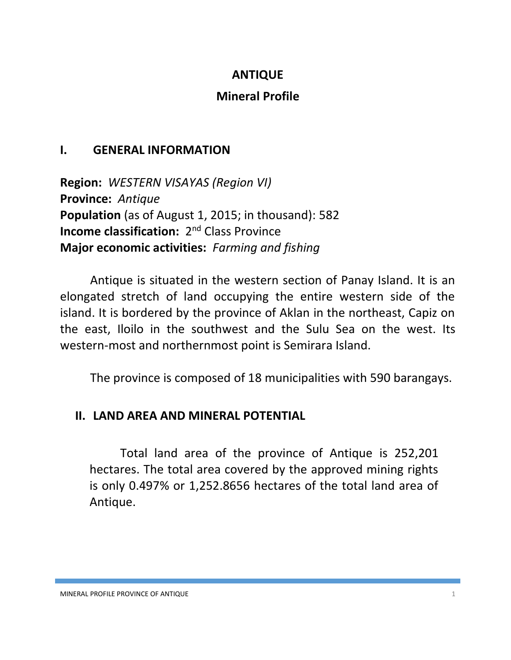## **ANTIQUE**

## **Mineral Profile**

## **I. GENERAL INFORMATION**

**Region:** *WESTERN VISAYAS (Region VI)* **Province:** *Antique* **Population** (as of August 1, 2015; in thousand): 582 **Income classification:** 2<sup>nd</sup> Class Province **Major economic activities:** *Farming and fishing*

Antique is situated in the western section of Panay Island. It is an elongated stretch of land occupying the entire western side of the island. It is bordered by the province of Aklan in the northeast, Capiz on the east, Iloilo in the southwest and the Sulu Sea on the west. Its western-most and northernmost point is Semirara Island.

The province is composed of 18 municipalities with 590 barangays.

# **II. LAND AREA AND MINERAL POTENTIAL**

Total land area of the province of Antique is 252,201 hectares. The total area covered by the approved mining rights is only 0.497% or 1,252.8656 hectares of the total land area of Antique.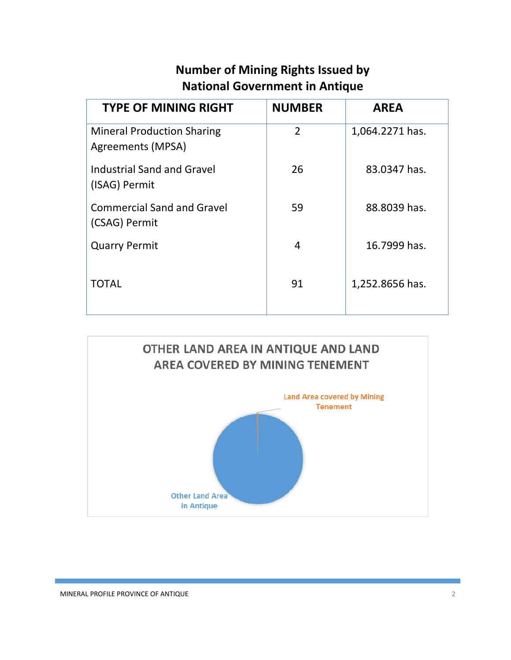# **Number of Mining Rights Issued by National Government in Antique**

| <b>TYPE OF MINING RIGHT</b>                            | <b>NUMBER</b>  | <b>AREA</b>     |
|--------------------------------------------------------|----------------|-----------------|
| <b>Mineral Production Sharing</b><br>Agreements (MPSA) | $\overline{2}$ | 1,064.2271 has. |
| Industrial Sand and Gravel<br>(ISAG) Permit            | 26             | 83.0347 has.    |
| <b>Commercial Sand and Gravel</b><br>(CSAG) Permit     | 59             | 88.8039 has.    |
| <b>Quarry Permit</b>                                   | 4              | 16.7999 has.    |
| TOTAL                                                  | 91             | 1,252.8656 has. |